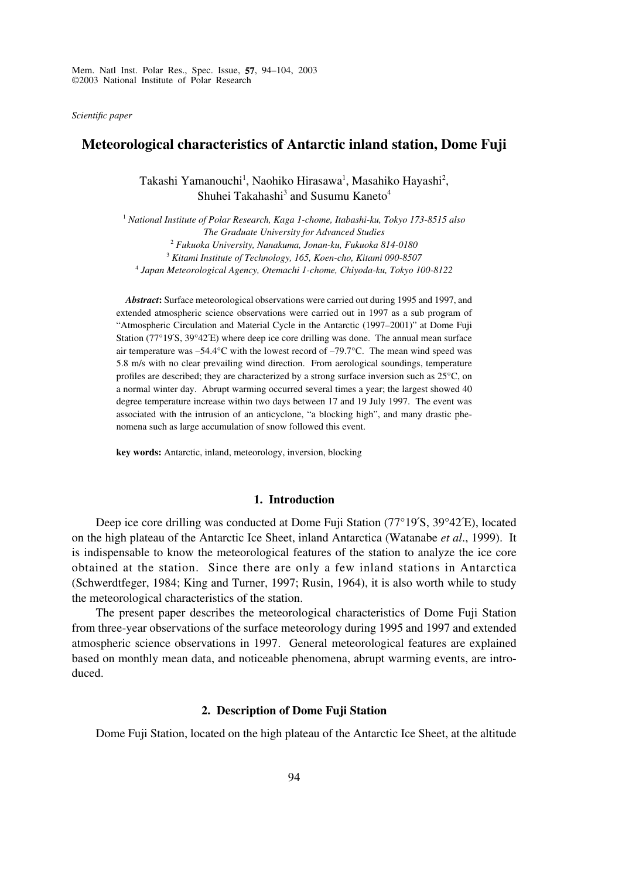Mem. Natl Inst. Polar Res., Spec. Issue, **57**, 94–104, 2003 ©2003 National Institute of Polar Research

*Scientific paper*

# **Meteorological characteristics of Antarctic inland station, Dome Fuji**

Takashi Yamanouchi<sup>1</sup>, Naohiko Hirasawa<sup>1</sup>, Masahiko Hayashi<sup>2</sup>, Shuhei Takahashi<sup>3</sup> and Susumu Kaneto<sup>4</sup>

 *National Institute of Polar Research, Kaga 1-chome, Itabashi-ku, Tokyo 173-8515 also The Graduate University for Advanced Studies Fukuoka University, Nanakuma, Jonan-ku, Fukuoka 814-0180 Kitami Institute of Technology, 165, Koen-cho, Kitami 090-8507 Japan Meteorological Agency, Otemachi 1-chome, Chiyoda-ku, Tokyo 100-8122*

*Abstract***:** Surface meteorological observations were carried out during 1995 and 1997, and extended atmospheric science observations were carried out in 1997 as a sub program of "Atmospheric Circulation and Material Cycle in the Antarctic (1997–2001)" at Dome Fuji Station (77°19´S, 39°42´E) where deep ice core drilling was done. The annual mean surface air temperature was  $-54.4^{\circ}$ C with the lowest record of  $-79.7^{\circ}$ C. The mean wind speed was 5.8 m/s with no clear prevailing wind direction. From aerological soundings, temperature profiles are described; they are characterized by a strong surface inversion such as 25°C, on a normal winter day. Abrupt warming occurred several times a year; the largest showed 40 degree temperature increase within two days between 17 and 19 July 1997. The event was associated with the intrusion of an anticyclone, "a blocking high", and many drastic phenomena such as large accumulation of snow followed this event.

**key words:** Antarctic, inland, meteorology, inversion, blocking

#### **1. Introduction**

Deep ice core drilling was conducted at Dome Fuji Station (77°19´S, 39°42´E), located on the high plateau of the Antarctic Ice Sheet, inland Antarctica (Watanabe *et al*., 1999). It is indispensable to know the meteorological features of the station to analyze the ice core obtained at the station. Since there are only a few inland stations in Antarctica (Schwerdtfeger, 1984; King and Turner, 1997; Rusin, 1964), it is also worth while to study the meteorological characteristics of the station.

The present paper describes the meteorological characteristics of Dome Fuji Station from three-year observations of the surface meteorology during 1995 and 1997 and extended atmospheric science observations in 1997. General meteorological features are explained based on monthly mean data, and noticeable phenomena, abrupt warming events, are introduced.

### **2. Description of Dome Fuji Station**

Dome Fuji Station, located on the high plateau of the Antarctic Ice Sheet, at the altitude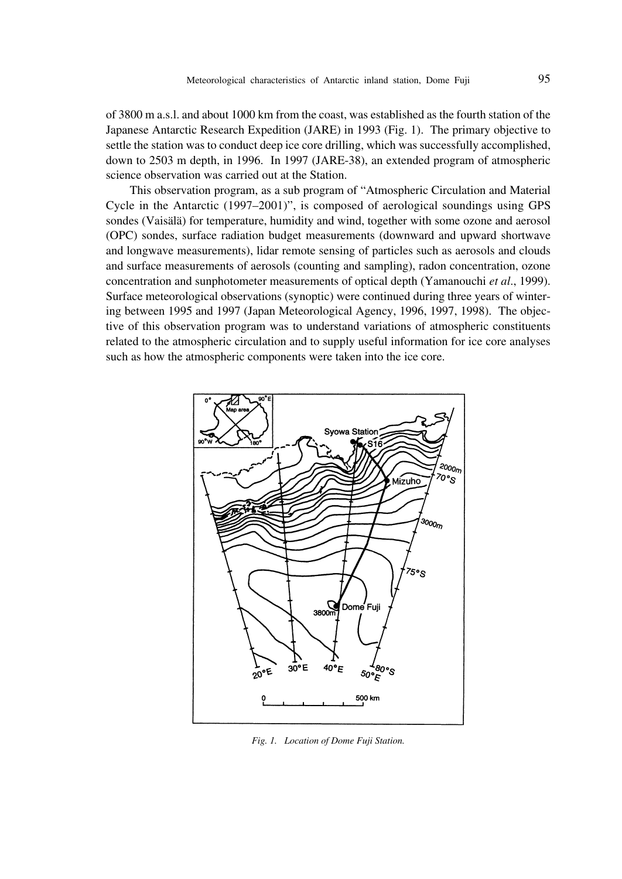of 3800 m a.s.l. and about 1000 km from the coast, was established as the fourth station of the Japanese Antarctic Research Expedition (JARE) in 1993 (Fig. 1). The primary objective to settle the station was to conduct deep ice core drilling, which was successfully accomplished, down to 2503 m depth, in 1996. In 1997 (JARE-38), an extended program of atmospheric science observation was carried out at the Station.

This observation program, as a sub program of "Atmospheric Circulation and Material Cycle in the Antarctic (1997–2001)", is composed of aerological soundings using GPS sondes (Vaisälä) for temperature, humidity and wind, together with some ozone and aerosol (OPC) sondes, surface radiation budget measurements (downward and upward shortwave and longwave measurements), lidar remote sensing of particles such as aerosols and clouds and surface measurements of aerosols (counting and sampling), radon concentration, ozone concentration and sunphotometer measurements of optical depth (Yamanouchi *et al*., 1999). Surface meteorological observations (synoptic) were continued during three years of wintering between 1995 and 1997 (Japan Meteorological Agency, 1996, 1997, 1998). The objective of this observation program was to understand variations of atmospheric constituents related to the atmospheric circulation and to supply useful information for ice core analyses such as how the atmospheric components were taken into the ice core.



*Fig. 1. Location of Dome Fuji Station.*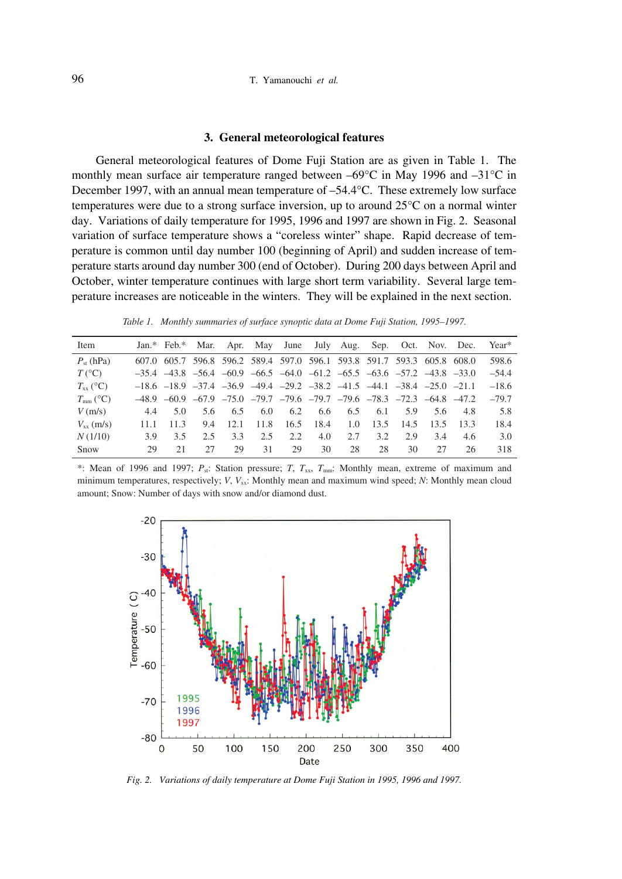#### **3. General meteorological features**

General meteorological features of Dome Fuji Station are as given in Table 1. The monthly mean surface air temperature ranged between –69°C in May 1996 and –31°C in December 1997, with an annual mean temperature of –54.4°C. These extremely low surface temperatures were due to a strong surface inversion, up to around 25°C on a normal winter day. Variations of daily temperature for 1995, 1996 and 1997 are shown in Fig. 2. Seasonal variation of surface temperature shows a "coreless winter" shape. Rapid decrease of temperature is common until day number 100 (beginning of April) and sudden increase of temperature starts around day number 300 (end of October). During 200 days between April and October, winter temperature continues with large short term variability. Several large temperature increases are noticeable in the winters. They will be explained in the next section.

*Table 1. Monthly summaries of surface synoptic data at Dome Fuji Station, 1995–1997.*

| Item             |      |      |     |      |      |      |      | Jan.* Feb.* Mar. Apr. May June July Aug. Sep. Oct. Nov. Dec.                                    |      |      |      |       | Year*   |
|------------------|------|------|-----|------|------|------|------|-------------------------------------------------------------------------------------------------|------|------|------|-------|---------|
| $P_{st}$ (hPa)   |      |      |     |      |      |      |      | 607.0 605.7 596.8 596.2 589.4 597.0 596.1 593.8 591.7 593.3 605.8 608.0                         |      |      |      |       | 598.6   |
| $T({}^{\circ}C)$ |      |      |     |      |      |      |      | $-35.4$ $-43.8$ $-56.4$ $-60.9$ $-66.5$ $-64.0$ $-61.2$ $-65.5$ $-63.6$ $-57.2$ $-43.8$ $-33.0$ |      |      |      |       | $-54.4$ |
| $T_{xx}$ (°C)    |      |      |     |      |      |      |      | $-18.6$ $-18.9$ $-37.4$ $-36.9$ $-49.4$ $-29.2$ $-38.2$ $-41.5$ $-44.1$ $-38.4$ $-25.0$ $-21.1$ |      |      |      |       | $-18.6$ |
| $T_{mm}$ (°C)    |      |      |     |      |      |      |      | $-48.9$ $-60.9$ $-67.9$ $-75.0$ $-79.7$ $-79.6$ $-79.7$ $-79.6$ $-78.3$ $-72.3$ $-64.8$ $-47.2$ |      |      |      |       | $-79.7$ |
| $V$ (m/s)        | 4.4  | 5.0  | 5.6 | 6.5  | 6.0  | 6.2  | 6.6  | 6.5                                                                                             | 6.1  | 5.9  | 5.6  | -4.8  | 5.8     |
| $V_{xx}$ (m/s)   | 11.1 | 11.3 | 9.4 | 12.1 | 11.8 | 16.5 | 18.4 | 1.0                                                                                             | 13.5 | 14.5 | 13.5 | -13.3 | 18.4    |
| N(1/10)          | 39   | 3.5  | 2.5 | 3.3  | 2.5  | 2.2  | 4.0  | 2.7                                                                                             | 3.2  | 2.9  | 3.4  | 4.6   | 3.0     |
| Snow             | 29   | 21   | 27  | 29   | 31   | 29   | 30   | 28                                                                                              | 28   | 30   | 27   | 26    | 318     |

\*: Mean of 1996 and 1997;  $P_s$ : Station pressure; *T*,  $T_{xx}$ ,  $T_{mm}$ : Monthly mean, extreme of maximum and minimum temperatures, respectively; *V*, *V<sub>xx</sub>*: Monthly mean and maximum wind speed; *N*: Monthly mean cloud amount; Snow: Number of days with snow and/or diamond dust.



*Fig. 2. Variations of daily temperature at Dome Fuji Station in 1995, 1996 and 1997.*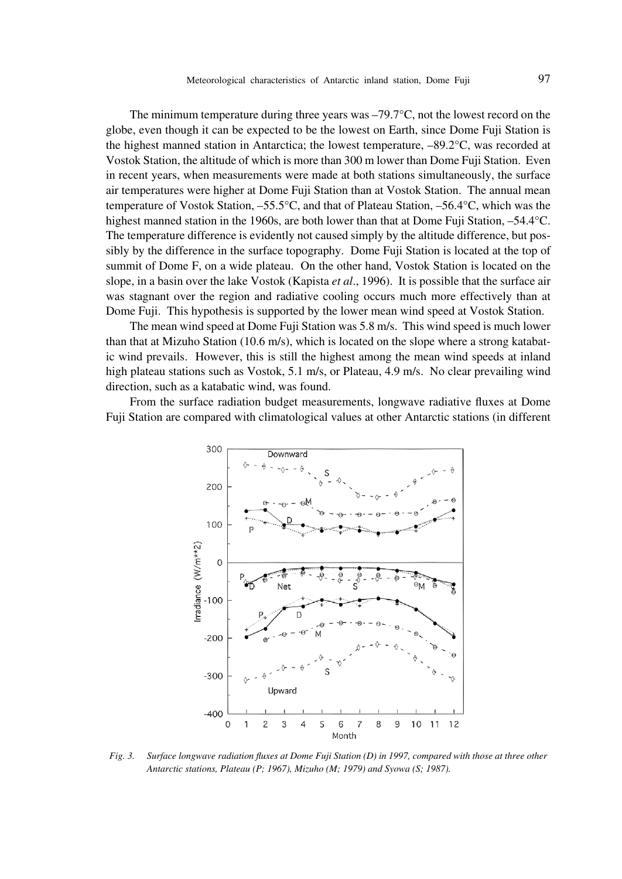The minimum temperature during three years was  $-79.7^{\circ}$ C, not the lowest record on the globe, even though it can be expected to be the lowest on Earth, since Dome Fuji Station is the highest manned station in Antarctica; the lowest temperature,  $-89.2^{\circ}$ C, was recorded at Vostok Station, the altitude of which is more than 300 m lower than Dome Fuji Station. Even in recent years, when measurements were made at both stations simultaneously, the surface air temperatures were higher at Dome Fuji Station than at Vostok Station. The annual mean temperature of Vostok Station, –55.5°C, and that of Plateau Station, –56.4°C, which was the highest manned station in the 1960s, are both lower than that at Dome Fuji Station, -54.4°C. The temperature difference is evidently not caused simply by the altitude difference, but possibly by the difference in the surface topography. Dome Fuji Station is located at the top of summit of Dome F, on a wide plateau. On the other hand, Vostok Station is located on the slope, in a basin over the lake Vostok (Kapista *et al*., 1996). It is possible that the surface air was stagnant over the region and radiative cooling occurs much more effectively than at Dome Fuji. This hypothesis is supported by the lower mean wind speed at Vostok Station.

The mean wind speed at Dome Fuji Station was 5.8 m/s. This wind speed is much lower than that at Mizuho Station (10.6 m/s), which is located on the slope where a strong katabatic wind prevails. However, this is still the highest among the mean wind speeds at inland high plateau stations such as Vostok, 5.1 m/s, or Plateau, 4.9 m/s. No clear prevailing wind direction, such as a katabatic wind, was found.

From the surface radiation budget measurements, longwave radiative fluxes at Dome Fuji Station are compared with climatological values at other Antarctic stations (in different



*Fig. 3. Surface longwave radiation fluxes at Dome Fuji Station (D) in 1997, compared with those at three other Antarctic stations, Plateau (P; 1967), Mizuho (M; 1979) and Syowa (S; 1987).*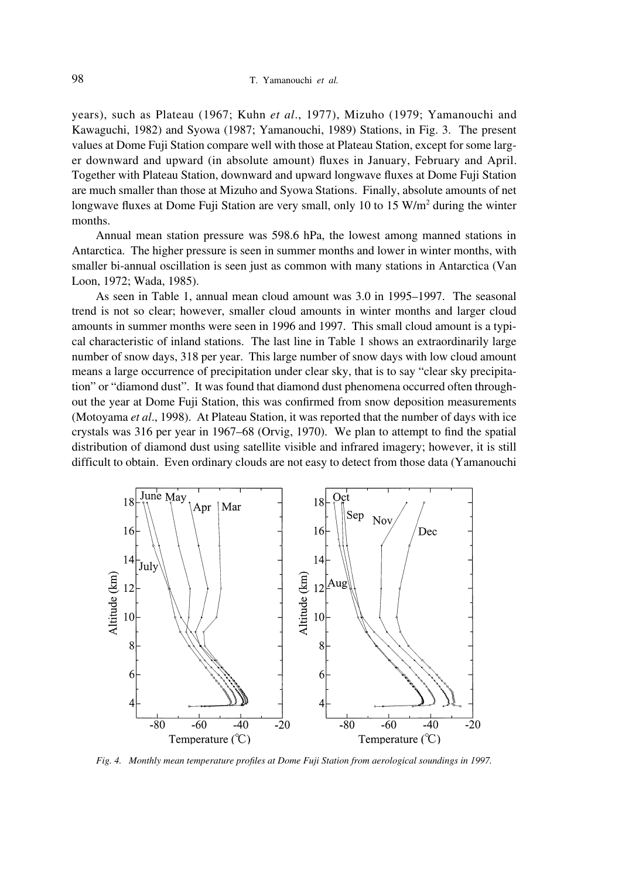years), such as Plateau (1967; Kuhn *et al*., 1977), Mizuho (1979; Yamanouchi and Kawaguchi, 1982) and Syowa (1987; Yamanouchi, 1989) Stations, in Fig. 3. The present values at Dome Fuji Station compare well with those at Plateau Station, except for some larger downward and upward (in absolute amount) fluxes in January, February and April. Together with Plateau Station, downward and upward longwave fluxes at Dome Fuji Station are much smaller than those at Mizuho and Syowa Stations. Finally, absolute amounts of net longwave fluxes at Dome Fuji Station are very small, only 10 to 15 W/m<sup>2</sup> during the winter months.

Annual mean station pressure was 598.6 hPa, the lowest among manned stations in Antarctica. The higher pressure is seen in summer months and lower in winter months, with smaller bi-annual oscillation is seen just as common with many stations in Antarctica (Van Loon, 1972; Wada, 1985).

As seen in Table 1, annual mean cloud amount was 3.0 in 1995–1997. The seasonal trend is not so clear; however, smaller cloud amounts in winter months and larger cloud amounts in summer months were seen in 1996 and 1997. This small cloud amount is a typical characteristic of inland stations. The last line in Table 1 shows an extraordinarily large number of snow days, 318 per year. This large number of snow days with low cloud amount means a large occurrence of precipitation under clear sky, that is to say "clear sky precipitation" or "diamond dust". It was found that diamond dust phenomena occurred often throughout the year at Dome Fuji Station, this was confirmed from snow deposition measurements (Motoyama *et al*., 1998). At Plateau Station, it was reported that the number of days with ice crystals was 316 per year in 1967–68 (Orvig, 1970). We plan to attempt to find the spatial distribution of diamond dust using satellite visible and infrared imagery; however, it is still difficult to obtain. Even ordinary clouds are not easy to detect from those data (Yamanouchi



*Fig. 4. Monthly mean temperature profiles at Dome Fuji Station from aerological soundings in 1997.*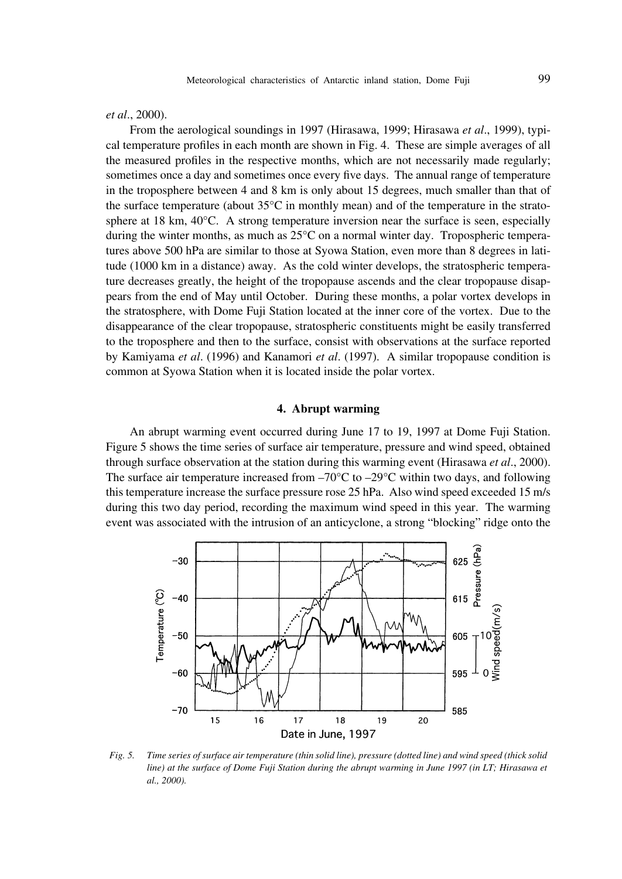*et al*., 2000).

From the aerological soundings in 1997 (Hirasawa, 1999; Hirasawa *et al*., 1999), typical temperature profiles in each month are shown in Fig. 4. These are simple averages of all the measured profiles in the respective months, which are not necessarily made regularly; sometimes once a day and sometimes once every five days. The annual range of temperature in the troposphere between 4 and 8 km is only about 15 degrees, much smaller than that of the surface temperature (about 35°C in monthly mean) and of the temperature in the stratosphere at 18 km, 40°C. A strong temperature inversion near the surface is seen, especially during the winter months, as much as  $25^{\circ}$ C on a normal winter day. Tropospheric temperatures above 500 hPa are similar to those at Syowa Station, even more than 8 degrees in latitude (1000 km in a distance) away. As the cold winter develops, the stratospheric temperature decreases greatly, the height of the tropopause ascends and the clear tropopause disappears from the end of May until October. During these months, a polar vortex develops in the stratosphere, with Dome Fuji Station located at the inner core of the vortex. Due to the disappearance of the clear tropopause, stratospheric constituents might be easily transferred to the troposphere and then to the surface, consist with observations at the surface reported by Kamiyama *et al*. (1996) and Kanamori *et al*. (1997). A similar tropopause condition is common at Syowa Station when it is located inside the polar vortex.

## **4. Abrupt warming**

An abrupt warming event occurred during June 17 to 19, 1997 at Dome Fuji Station. Figure 5 shows the time series of surface air temperature, pressure and wind speed, obtained through surface observation at the station during this warming event (Hirasawa *et al*., 2000). The surface air temperature increased from  $-70^{\circ}$ C to  $-29^{\circ}$ C within two days, and following this temperature increase the surface pressure rose 25 hPa. Also wind speed exceeded 15 m/s during this two day period, recording the maximum wind speed in this year. The warming event was associated with the intrusion of an anticyclone, a strong "blocking" ridge onto the



*Fig. 5. Time series of surface air temperature (thin solid line), pressure (dotted line) and wind speed (thick solid line) at the surface of Dome Fuji Station during the abrupt warming in June 1997 (in LT; Hirasawa et al., 2000).*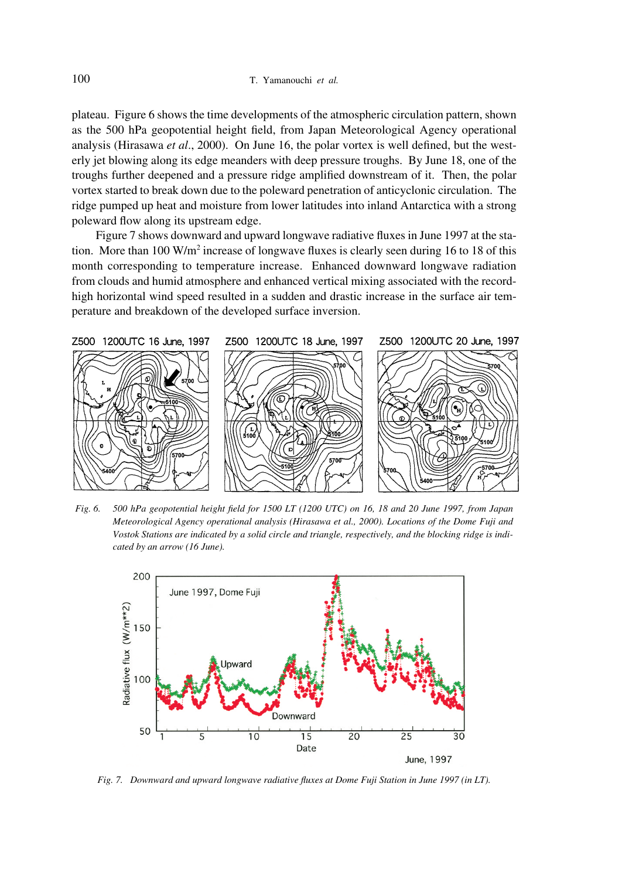plateau. Figure 6 shows the time developments of the atmospheric circulation pattern, shown as the 500 hPa geopotential height field, from Japan Meteorological Agency operational analysis (Hirasawa *et al*., 2000). On June 16, the polar vortex is well defined, but the westerly jet blowing along its edge meanders with deep pressure troughs. By June 18, one of the troughs further deepened and a pressure ridge amplified downstream of it. Then, the polar vortex started to break down due to the poleward penetration of anticyclonic circulation. The ridge pumped up heat and moisture from lower latitudes into inland Antarctica with a strong poleward flow along its upstream edge.

Figure 7 shows downward and upward longwave radiative fluxes in June 1997 at the station. More than 100 W/m<sup>2</sup> increase of longwave fluxes is clearly seen during 16 to 18 of this month corresponding to temperature increase. Enhanced downward longwave radiation from clouds and humid atmosphere and enhanced vertical mixing associated with the recordhigh horizontal wind speed resulted in a sudden and drastic increase in the surface air temperature and breakdown of the developed surface inversion.



*Fig. 6. 500 hPa geopotential height field for 1500 LT (1200 UTC) on 16, 18 and 20 June 1997, from Japan Meteorological Agency operational analysis (Hirasawa et al., 2000). Locations of the Dome Fuji and Vostok Stations are indicated by a solid circle and triangle, respectively, and the blocking ridge is indicated by an arrow (16 June).*



*Fig. 7. Downward and upward longwave radiative fluxes at Dome Fuji Station in June 1997 (in LT).*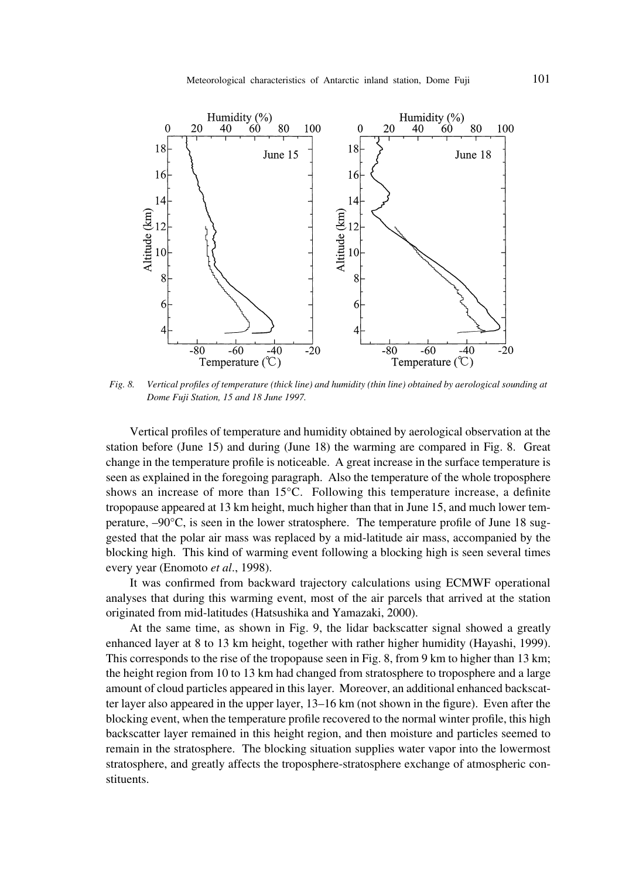

*Fig. 8. Vertical profiles of temperature (thick line) and humidity (thin line) obtained by aerological sounding at Dome Fuji Station, 15 and 18 June 1997.*

Vertical profiles of temperature and humidity obtained by aerological observation at the station before (June 15) and during (June 18) the warming are compared in Fig. 8. Great change in the temperature profile is noticeable. A great increase in the surface temperature is seen as explained in the foregoing paragraph. Also the temperature of the whole troposphere shows an increase of more than 15°C. Following this temperature increase, a definite tropopause appeared at 13 km height, much higher than that in June 15, and much lower temperature, –90°C, is seen in the lower stratosphere. The temperature profile of June 18 suggested that the polar air mass was replaced by a mid-latitude air mass, accompanied by the blocking high. This kind of warming event following a blocking high is seen several times every year (Enomoto *et al*., 1998).

It was confirmed from backward trajectory calculations using ECMWF operational analyses that during this warming event, most of the air parcels that arrived at the station originated from mid-latitudes (Hatsushika and Yamazaki, 2000).

At the same time, as shown in Fig. 9, the lidar backscatter signal showed a greatly enhanced layer at 8 to 13 km height, together with rather higher humidity (Hayashi, 1999). This corresponds to the rise of the tropopause seen in Fig. 8, from 9 km to higher than 13 km; the height region from 10 to 13 km had changed from stratosphere to troposphere and a large amount of cloud particles appeared in this layer. Moreover, an additional enhanced backscatter layer also appeared in the upper layer, 13–16 km (not shown in the figure). Even after the blocking event, when the temperature profile recovered to the normal winter profile, this high backscatter layer remained in this height region, and then moisture and particles seemed to remain in the stratosphere. The blocking situation supplies water vapor into the lowermost stratosphere, and greatly affects the troposphere-stratosphere exchange of atmospheric constituents.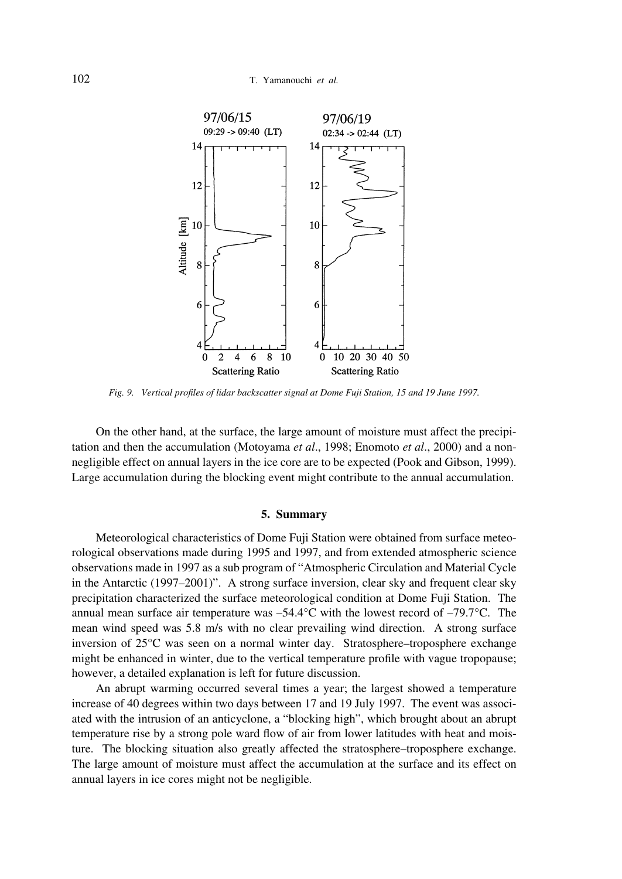

*Fig. 9. Vertical profiles of lidar backscatter signal at Dome Fuji Station, 15 and 19 June 1997.*

On the other hand, at the surface, the large amount of moisture must affect the precipitation and then the accumulation (Motoyama *et al*., 1998; Enomoto *et al*., 2000) and a nonnegligible effect on annual layers in the ice core are to be expected (Pook and Gibson, 1999). Large accumulation during the blocking event might contribute to the annual accumulation.

#### **5. Summary**

Meteorological characteristics of Dome Fuji Station were obtained from surface meteorological observations made during 1995 and 1997, and from extended atmospheric science observations made in 1997 as a sub program of "Atmospheric Circulation and Material Cycle in the Antarctic (1997–2001)". A strong surface inversion, clear sky and frequent clear sky precipitation characterized the surface meteorological condition at Dome Fuji Station. The annual mean surface air temperature was  $-54.4^{\circ}$ C with the lowest record of  $-79.7^{\circ}$ C. The mean wind speed was 5.8 m/s with no clear prevailing wind direction. A strong surface inversion of 25°C was seen on a normal winter day. Stratosphere–troposphere exchange might be enhanced in winter, due to the vertical temperature profile with vague tropopause; however, a detailed explanation is left for future discussion.

An abrupt warming occurred several times a year; the largest showed a temperature increase of 40 degrees within two days between 17 and 19 July 1997. The event was associated with the intrusion of an anticyclone, a "blocking high", which brought about an abrupt temperature rise by a strong pole ward flow of air from lower latitudes with heat and moisture. The blocking situation also greatly affected the stratosphere–troposphere exchange. The large amount of moisture must affect the accumulation at the surface and its effect on annual layers in ice cores might not be negligible.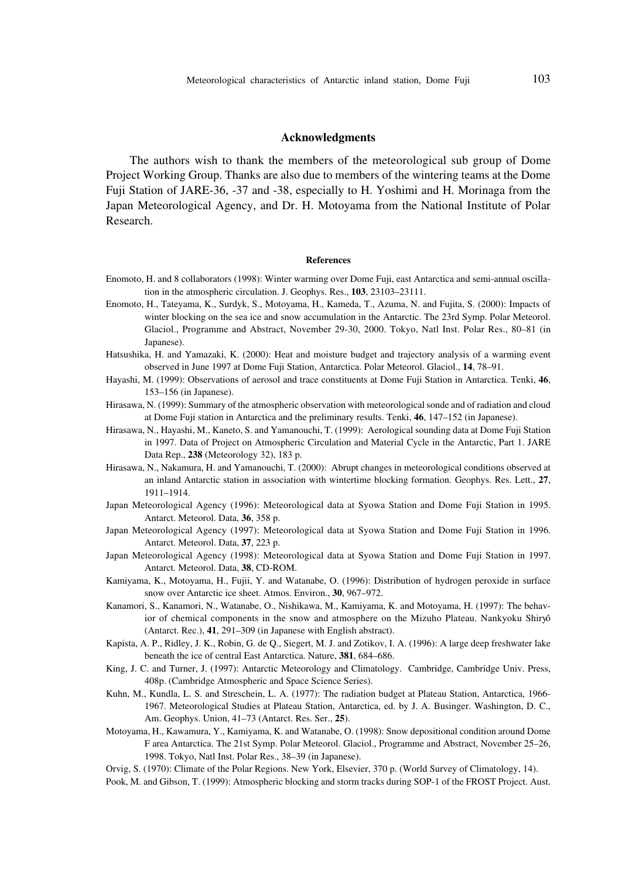The authors wish to thank the members of the meteorological sub group of Dome Project Working Group. Thanks are also due to members of the wintering teams at the Dome Fuji Station of JARE-36, -37 and -38, especially to H. Yoshimi and H. Morinaga from the Japan Meteorological Agency, and Dr. H. Motoyama from the National Institute of Polar Research.

#### **References**

- Enomoto, H. and 8 collaborators (1998): Winter warming over Dome Fuji, east Antarctica and semi-annual oscillation in the atmospheric circulation. J. Geophys. Res., **103**, 23103–23111.
- Enomoto, H., Tateyama, K., Surdyk, S., Motoyama, H., Kameda, T., Azuma, N. and Fujita, S. (2000): Impacts of winter blocking on the sea ice and snow accumulation in the Antarctic. The 23rd Symp. Polar Meteorol. Glaciol., Programme and Abstract, November 29-30, 2000. Tokyo, Natl Inst. Polar Res., 80–81 (in Japanese).
- Hatsushika, H. and Yamazaki, K. (2000): Heat and moisture budget and trajectory analysis of a warming event observed in June 1997 at Dome Fuji Station, Antarctica. Polar Meteorol. Glaciol., **14**, 78–91.
- Hayashi, M. (1999): Observations of aerosol and trace constituents at Dome Fuji Station in Antarctica. Tenki, **46**, 153–156 (in Japanese).
- Hirasawa, N. (1999): Summary of the atmospheric observation with meteorological sonde and of radiation and cloud at Dome Fuji station in Antarctica and the preliminary results. Tenki, **46**, 147–152 (in Japanese).
- Hirasawa, N., Hayashi, M., Kaneto, S. and Yamanouchi, T. (1999): Aerological sounding data at Dome Fuji Station in 1997. Data of Project on Atmospheric Circulation and Material Cycle in the Antarctic, Part 1. JARE Data Rep., **238** (Meteorology 32), 183 p.
- Hirasawa, N., Nakamura, H. and Yamanouchi, T. (2000): Abrupt changes in meteorological conditions observed at an inland Antarctic station in association with wintertime blocking formation. Geophys. Res. Lett., **27**, 1911–1914.
- Japan Meteorological Agency (1996): Meteorological data at Syowa Station and Dome Fuji Station in 1995. Antarct. Meteorol. Data, **36**, 358 p.
- Japan Meteorological Agency (1997): Meteorological data at Syowa Station and Dome Fuji Station in 1996. Antarct. Meteorol. Data, **37**, 223 p.
- Japan Meteorological Agency (1998): Meteorological data at Syowa Station and Dome Fuji Station in 1997. Antarct. Meteorol. Data, **38**, CD-ROM.
- Kamiyama, K., Motoyama, H., Fujii, Y. and Watanabe, O. (1996): Distribution of hydrogen peroxide in surface snow over Antarctic ice sheet. Atmos. Environ., **30**, 967–972.
- Kanamori, S., Kanamori, N., Watanabe, O., Nishikawa, M., Kamiyama, K. and Motoyama, H. (1997): The behavior of chemical components in the snow and atmosphere on the Mizuho Plateau. Nankyoku Shiryô (Antarct. Rec.), **41**, 291–309 (in Japanese with English abstract).
- Kapista, A. P., Ridley, J. K., Robin, G. de Q., Siegert, M. J. and Zotikov, I. A. (1996): A large deep freshwater lake beneath the ice of central East Antarctica. Nature, **381**, 684–686.
- King, J. C. and Turner, J. (1997): Antarctic Meteorology and Climatology. Cambridge, Cambridge Univ. Press, 408p. (Cambridge Atmospheric and Space Science Series).
- Kuhn, M., Kundla, L. S. and Streschein, L. A. (1977): The radiation budget at Plateau Station, Antarctica, 1966- 1967. Meteorological Studies at Plateau Station, Antarctica, ed. by J. A. Businger. Washington, D. C., Am. Geophys. Union, 41–73 (Antarct. Res. Ser., **25**).
- Motoyama, H., Kawamura, Y., Kamiyama, K. and Watanabe, O. (1998): Snow depositional condition around Dome F area Antarctica. The 21st Symp. Polar Meteorol. Glaciol., Programme and Abstract, November 25–26, 1998. Tokyo, Natl Inst. Polar Res., 38–39 (in Japanese).
- Orvig, S. (1970): Climate of the Polar Regions. New York, Elsevier, 370 p. (World Survey of Climatology, 14).
- Pook, M. and Gibson, T. (1999): Atmospheric blocking and storm tracks during SOP-1 of the FROST Project. Aust.